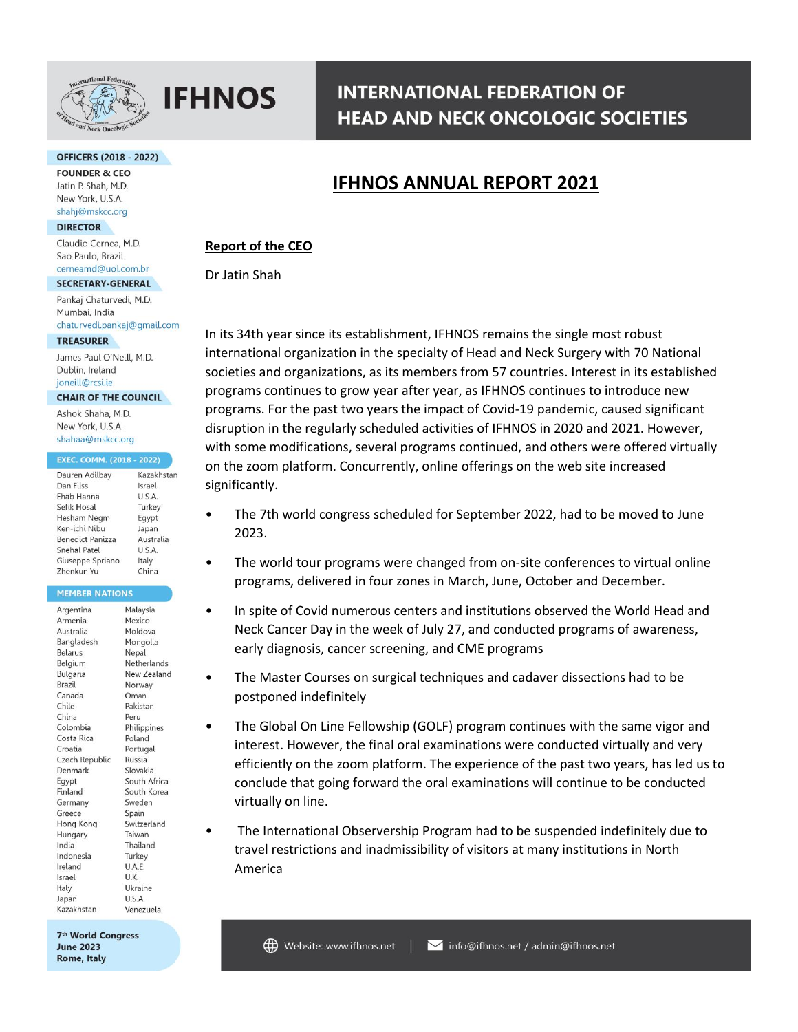

#### **OFFICERS (2018 - 2022)**

**FOUNDER & CEO** Jatin P. Shah, M.D. New York, U.S.A. shahj@mskcc.org

#### **DIRECTOR**

Claudio Cernea, M.D. Sao Paulo, Brazil cerneamd@uol.com.br

#### SECRETARY-GENERAL

Pankaj Chaturvedi, M.D. Mumbai, India chaturvedi.pankaj@gmail.com

#### **TREASURER**

James Paul O'Neill, M.D. Dublin, Ireland joneill@rcsi.ie

#### **CHAIR OF THE COUNCIL**

Ashok Shaha, M.D. New York, U.S.A. shahaa@mskcc.org

#### **EXEC. COMM. (2018 - 2022)**

| Dauren Adilbay   | Kazakhstan |
|------------------|------------|
| Dan Fliss        | Israel     |
| Ehab Hanna       | U.S.A.     |
| Sefik Hosal      | Turkey     |
| Hesham Negm      | Egypt      |
| Ken-ichi Nibu    | Japan      |
| Benedict Panizza | Australia  |
| Snehal Patel     | U.S.A.     |
| Giuseppe Spriano | Italy      |
| Zhenkun Yu       | China      |

#### **MEMBER NATIONS**

| Argentina             | Malaysia     |
|-----------------------|--------------|
| Armenia               | Mexico       |
| Australia             | Moldova      |
| Bangladesh            | Mongolia     |
| Belarus               | Nepal        |
| Belgium               | Netherlands  |
| <b>Bulgaria</b>       | New Zealand  |
| <b>Brazil</b>         | Norway       |
| Canada                | Oman         |
| Chile                 | Pakistan     |
| China                 | Peru         |
| Colombia              | Philippines  |
| Costa Rica            | Poland       |
| Croatia               | Portugal     |
| <b>Czech Republic</b> | Russia       |
| Denmark               | Slovakia     |
| Egypt                 | South Africa |
| <i><b>Finland</b></i> | South Korea  |
| Germany               | Sweden       |
| Greece                | Spain        |
| Hong Kong             | Switzerland  |
| Hungary               | Taiwan       |
| ndia                  | Thailand     |
| ndonesia              | Turkey       |
| reland                | U.A.E.       |
| srael                 | U.K.         |
| taly                  | Ukraine      |
| lapan                 | U.S.A.       |
| <b>Kazakhstan</b>     | Venezuela    |

7<sup>th</sup> World Congress **June 2023** Rome, Italy

# **INTERNATIONAL FEDERATION OF HEAD AND NECK ONCOLOGIC SOCIETIES**

# **IFHNOS ANNUAL REPORT 2021**

## **Report of the CEO**

Dr Jatin Shah

In its 34th year since its establishment, IFHNOS remains the single most robust international organization in the specialty of Head and Neck Surgery with 70 National societies and organizations, as its members from 57 countries. Interest in its established programs continues to grow year after year, as IFHNOS continues to introduce new programs. For the past two years the impact of Covid-19 pandemic, caused significant disruption in the regularly scheduled activities of IFHNOS in 2020 and 2021. However, with some modifications, several programs continued, and others were offered virtually on the zoom platform. Concurrently, online offerings on the web site increased significantly.

- The 7th world congress scheduled for September 2022, had to be moved to June 2023.
- The world tour programs were changed from on-site conferences to virtual online programs, delivered in four zones in March, June, October and December.
- In spite of Covid numerous centers and institutions observed the World Head and Neck Cancer Day in the week of July 27, and conducted programs of awareness, early diagnosis, cancer screening, and CME programs
- The Master Courses on surgical techniques and cadaver dissections had to be postponed indefinitely
- The Global On Line Fellowship (GOLF) program continues with the same vigor and interest. However, the final oral examinations were conducted virtually and very efficiently on the zoom platform. The experience of the past two years, has led us to conclude that going forward the oral examinations will continue to be conducted virtually on line.
- The International Observership Program had to be suspended indefinitely due to travel restrictions and inadmissibility of visitors at many institutions in North America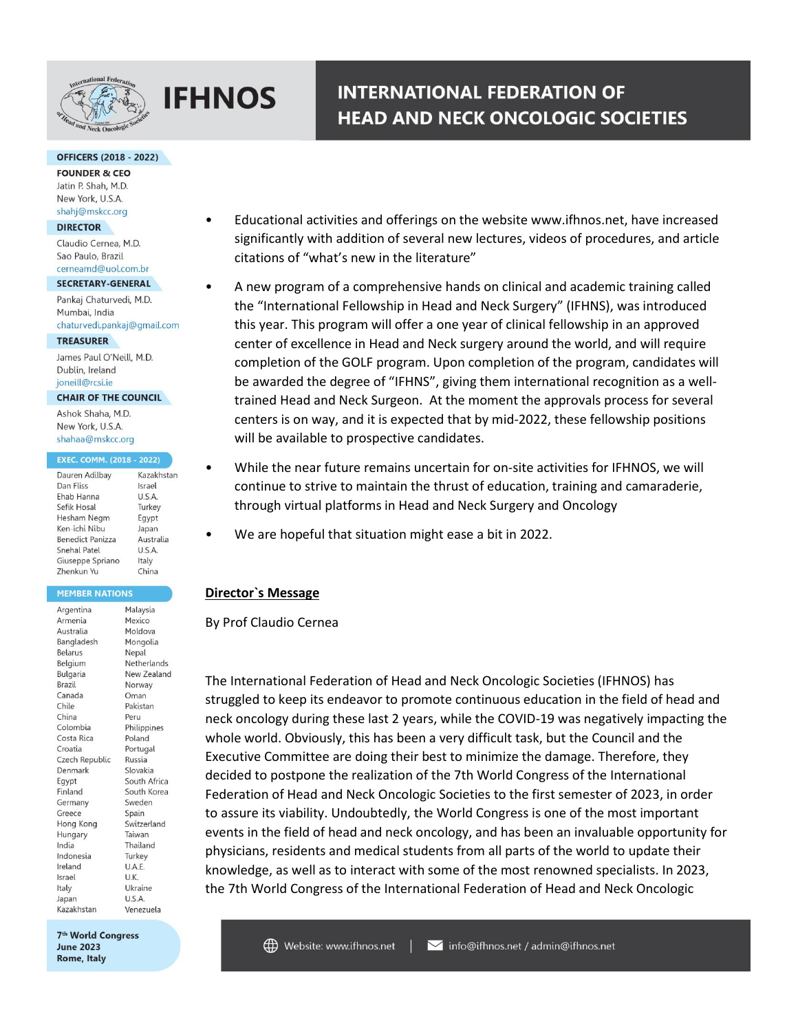

#### **OFFICERS (2018 - 2022)**

**FOUNDER & CEO** Jatin P. Shah, M.D. New York, U.S.A. shahj@mskcc.org

#### **DIRECTOR**

Claudio Cernea, M.D. Sao Paulo, Brazil cerneamd@uol.com.br

#### SECRETARY-GENERAL

Pankaj Chaturvedi, M.D. Mumbai, India chaturvedi.pankaj@gmail.com

#### **TREASURER**

James Paul O'Neill, M.D. Dublin, Ireland joneill@rcsi.ie

#### **CHAIR OF THE COUNCIL**

Ashok Shaha, M.D. New York, U.S.A. shahaa@mskcc.org

#### EXEC. COMM. (2018 - 2022)

| Dauren Adilbay          | Kazakhstan |
|-------------------------|------------|
| Dan Fliss               | Israel     |
| Ehab Hanna              | U.S.A.     |
| Sefik Hosal             | Turkey     |
| Hesham Negm             | Egypt      |
| Ken-ichi Nibu           | Japan      |
| <b>Benedict Panizza</b> | Australia  |
| Snehal Patel            | U.S.A.     |
| Giuseppe Spriano        | Italy      |
| Zhenkun Yu              | China      |

#### **MEMBER NATIONS**

| Argentina      | Malaysia     |
|----------------|--------------|
| Armenia        | Mexico       |
| Australia      | Moldova      |
| Bangladesh     | Mongolia     |
| <b>Belarus</b> | Nepal        |
| Belgium        | Netherlands  |
| Bulgaria       | New Zealand  |
| Brazil         | Norway       |
| Canada         | Oman         |
| Chile          | Pakistan     |
| China          | Peru         |
| Colombia       | Philippines  |
| Costa Rica     | Poland       |
| Croatia        | Portugal     |
| Czech Republic | Russia       |
| Denmark        | Slovakia     |
| Eqypt          | South Africa |
| Finland        | South Korea  |
| Germany        | Sweden       |
| Greece         | Spain        |
| Hong Kong      | Switzerland  |
| Hungary        | Taiwan       |
| India          | Thailand     |
| Indonesia      | Turkey       |
| Ireland        | U.A.E.       |
| Israel         | U.K.         |
| Italy          | Ukraine      |
| Japan          | U.S.A.       |
| Kazakhstan     | Venezuela    |

7<sup>th</sup> World Congress **June 2023** Rome, Italy

• Educational activities and offerings on the website www.ifhnos.net, have increased significantly with addition of several new lectures, videos of procedures, and article citations of "what's new in the literature"

**INTERNATIONAL FEDERATION OF** 

**HEAD AND NECK ONCOLOGIC SOCIETIES** 

- A new program of a comprehensive hands on clinical and academic training called the "International Fellowship in Head and Neck Surgery" (IFHNS), was introduced this year. This program will offer a one year of clinical fellowship in an approved center of excellence in Head and Neck surgery around the world, and will require completion of the GOLF program. Upon completion of the program, candidates will be awarded the degree of "IFHNS", giving them international recognition as a welltrained Head and Neck Surgeon. At the moment the approvals process for several centers is on way, and it is expected that by mid-2022, these fellowship positions will be available to prospective candidates.
- While the near future remains uncertain for on-site activities for IFHNOS, we will continue to strive to maintain the thrust of education, training and camaraderie, through virtual platforms in Head and Neck Surgery and Oncology
- We are hopeful that situation might ease a bit in 2022.

## **Director`s Message**

By Prof Claudio Cernea

The International Federation of Head and Neck Oncologic Societies (IFHNOS) has struggled to keep its endeavor to promote continuous education in the field of head and neck oncology during these last 2 years, while the COVID-19 was negatively impacting the whole world. Obviously, this has been a very difficult task, but the Council and the Executive Committee are doing their best to minimize the damage. Therefore, they decided to postpone the realization of the 7th World Congress of the International Federation of Head and Neck Oncologic Societies to the first semester of 2023, in order to assure its viability. Undoubtedly, the World Congress is one of the most important events in the field of head and neck oncology, and has been an invaluable opportunity for physicians, residents and medical students from all parts of the world to update their knowledge, as well as to interact with some of the most renowned specialists. In 2023, the 7th World Congress of the International Federation of Head and Neck Oncologic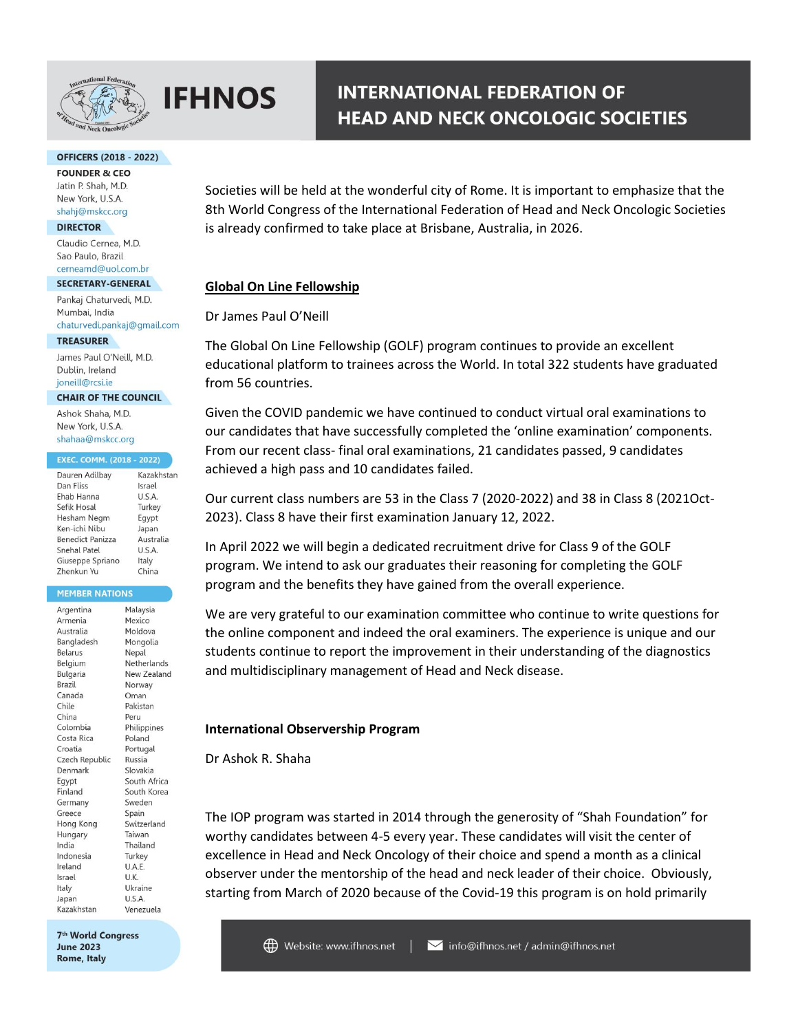

#### **OFFICERS (2018 - 2022)**

**FOUNDER & CEO** Jatin P. Shah, M.D. New York, U.S.A. shahj@mskcc.org

#### **DIRECTOR**

Claudio Cernea, M.D. Sao Paulo, Brazil cerneamd@uol.com.br

#### SECRETARY-GENERAL

Pankaj Chaturvedi, M.D. Mumbai, India chaturvedi.pankaj@gmail.com

#### **TREASURER**

James Paul O'Neill, M.D. Dublin, Ireland joneill@rcsi.ie

#### **CHAIR OF THE COUNCIL**

Ashok Shaha, M.D. New York, U.S.A. shahaa@mskcc.org

#### EXEC. COMM. (2018 - 2022)

| Dauren Adilbay          | Kazakhstar |
|-------------------------|------------|
| Dan Fliss               | Israel     |
| Ehab Hanna              | U.S.A.     |
| Sefik Hosal             | Turkey     |
| Hesham Negm             | Egypt      |
| Ken-ichi Nibu           | Japan      |
| <b>Benedict Panizza</b> | Australia  |
| Snehal Patel            | U.S.A.     |
| Giuseppe Spriano        | Italy      |
| Zhenkun Yu              | China      |

#### **MEMBER NATIONS**

| Argentina      | Malaysia        |
|----------------|-----------------|
| Armenia        | Mexico          |
| Australia      | Moldova         |
| Bangladesh     | Mongolia        |
| Belarus        | Nepal           |
| Belgium        | Netherlands     |
| Bulgaria       | New Zealand     |
| Brazil         | Norway          |
| Canada         | Oman            |
| Chile          | Pakistan        |
| China          | Peru            |
| Colombia       | Philippines     |
| Costa Rica     | Poland          |
| Croatia        | Portugal        |
| Czech Republic | Russia          |
| Denmark        | Slovakia        |
| Egypt          | South Africa    |
| Finland        | South Korea     |
| Germany        | Sweden          |
| Greece         | Spain           |
| Hong Kong      | Switzerland     |
| Hungary        | Taiwan          |
| India          | Thailand        |
| Indonesia      | Turkey          |
| Ireland        | U.A.E.          |
| Israel         | U.K.            |
| Italy          | Ukraine         |
| Japan          | U.S.A.          |
| Kazakhetan     | Van<br>anazuela |

7<sup>th</sup> World Congress **June 2023** Rome, Italy

# **INTERNATIONAL FEDERATION OF HEAD AND NECK ONCOLOGIC SOCIETIES**

Societies will be held at the wonderful city of Rome. It is important to emphasize that the 8th World Congress of the International Federation of Head and Neck Oncologic Societies is already confirmed to take place at Brisbane, Australia, in 2026.

# **Global On Line Fellowship**

## Dr James Paul O'Neill

The Global On Line Fellowship (GOLF) program continues to provide an excellent educational platform to trainees across the World. In total 322 students have graduated from 56 countries.

Given the COVID pandemic we have continued to conduct virtual oral examinations to our candidates that have successfully completed the 'online examination' components. From our recent class- final oral examinations, 21 candidates passed, 9 candidates achieved a high pass and 10 candidates failed.

Our current class numbers are 53 in the Class 7 (2020-2022) and 38 in Class 8 (2021Oct-2023). Class 8 have their first examination January 12, 2022.

In April 2022 we will begin a dedicated recruitment drive for Class 9 of the GOLF program. We intend to ask our graduates their reasoning for completing the GOLF program and the benefits they have gained from the overall experience.

We are very grateful to our examination committee who continue to write questions for the online component and indeed the oral examiners. The experience is unique and our students continue to report the improvement in their understanding of the diagnostics and multidisciplinary management of Head and Neck disease.

## **International Observership Program**

Dr Ashok R. Shaha

The IOP program was started in 2014 through the generosity of "Shah Foundation" for worthy candidates between 4-5 every year. These candidates will visit the center of excellence in Head and Neck Oncology of their choice and spend a month as a clinical observer under the mentorship of the head and neck leader of their choice. Obviously, starting from March of 2020 because of the Covid-19 this program is on hold primarily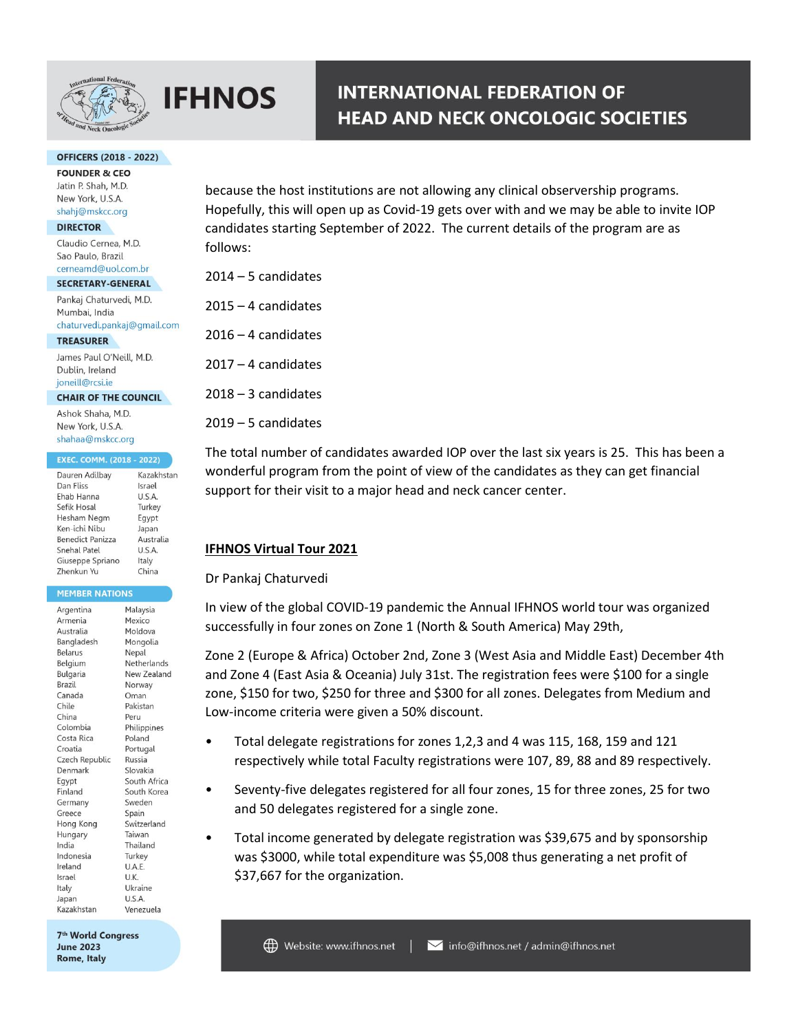

### **OFFICERS (2018 - 2022)**

**FOUNDER & CEO** Jatin P. Shah, M.D. New York, U.S.A. shahj@mskcc.org

#### **DIRECTOR**

Claudio Cernea, M.D. Sao Paulo, Brazil cerneamd@uol.com.br

#### SECRETARY-GENERAL

Pankaj Chaturvedi, M.D. Mumbai, India chaturvedi.pankaj@gmail.com

**TREASURER** 

James Paul O'Neill, M.D. Dublin, Ireland joneill@rcsi.ie

### **CHAIR OF THE COUNCIL**

Ashok Shaha, M.D. New York, U.S.A. shahaa@mskcc.org

#### **EXEC. COMM. (2018 - 2022)**

| Dauren Adilbay          | Kazakhstan |
|-------------------------|------------|
| Dan Fliss               | Israel     |
| Ehab Hanna              | U.S.A.     |
| Sefik Hosal             | Turkey     |
| Hesham Negm             | Egypt      |
| Ken-ichi Nibu           | Japan      |
| <b>Benedict Panizza</b> | Australia  |
| Snehal Patel            | U.S.A.     |
| Giuseppe Spriano        | Italy      |
| <b>Zhenkun Yu</b>       | China      |

#### **MEMBER NATIONS**

| Argentina      | Malaysia     |
|----------------|--------------|
| Armenia        | Mexico       |
| Australia      | Moldova      |
| Bangladesh     | Mongolia     |
| Belarus        | Nepal        |
| Belgium        | Netherlands  |
| Bulgaria       | New Zealand  |
| Brazil         | Norway       |
| Canada         | Oman         |
| Chile          | Pakistan     |
| China          | Peru         |
| Colombia       | Philippines  |
| Costa Rica     | Poland       |
| Croatia        | Portugal     |
| Czech Republic | Russia       |
| Denmark        | Slovakia     |
| Eqypt          | South Africa |
| Finland        | South Korea  |
| Germany        | Sweden       |
| Greece         | Spain        |
| Hong Kong      | Switzerland  |
| Hungary        | Taiwan       |
| India          | Thailand     |
| Indonesia      | Turkey       |
| Ireland        | U.A.E.       |
| Israel         | U.K.         |
| Italy          | Ukraine      |
| Japan          | U.S.A.       |
| Kazakhstan     | Venezuela    |

7<sup>th</sup> World Congress **June 2023** Rome, Italy

because the host institutions are not allowing any clinical observership programs. Hopefully, this will open up as Covid-19 gets over with and we may be able to invite IOP candidates starting September of 2022. The current details of the program are as follows:

| 2014 – 5 candidates |
|---------------------|
|                     |

2015 – 4 candidates

2016 – 4 candidates

2017 – 4 candidates

2018 – 3 candidates

 $2019 - 5$  candidates

The total number of candidates awarded IOP over the last six years is 25. This has been a wonderful program from the point of view of the candidates as they can get financial support for their visit to a major head and neck cancer center.

# **IFHNOS Virtual Tour 2021**

## Dr Pankaj Chaturvedi

In view of the global COVID-19 pandemic the Annual IFHNOS world tour was organized successfully in four zones on Zone 1 (North & South America) May 29th,

Zone 2 (Europe & Africa) October 2nd, Zone 3 (West Asia and Middle East) December 4th and Zone 4 (East Asia & Oceania) July 31st. The registration fees were \$100 for a single zone, \$150 for two, \$250 for three and \$300 for all zones. Delegates from Medium and Low-income criteria were given a 50% discount.

- Total delegate registrations for zones 1,2,3 and 4 was 115, 168, 159 and 121 respectively while total Faculty registrations were 107, 89, 88 and 89 respectively.
- Seventy-five delegates registered for all four zones, 15 for three zones, 25 for two and 50 delegates registered for a single zone.
- Total income generated by delegate registration was \$39,675 and by sponsorship was \$3000, while total expenditure was \$5,008 thus generating a net profit of \$37,667 for the organization.

# **INTERNATIONAL FEDERATION OF HEAD AND NECK ONCOLOGIC SOCIETIES**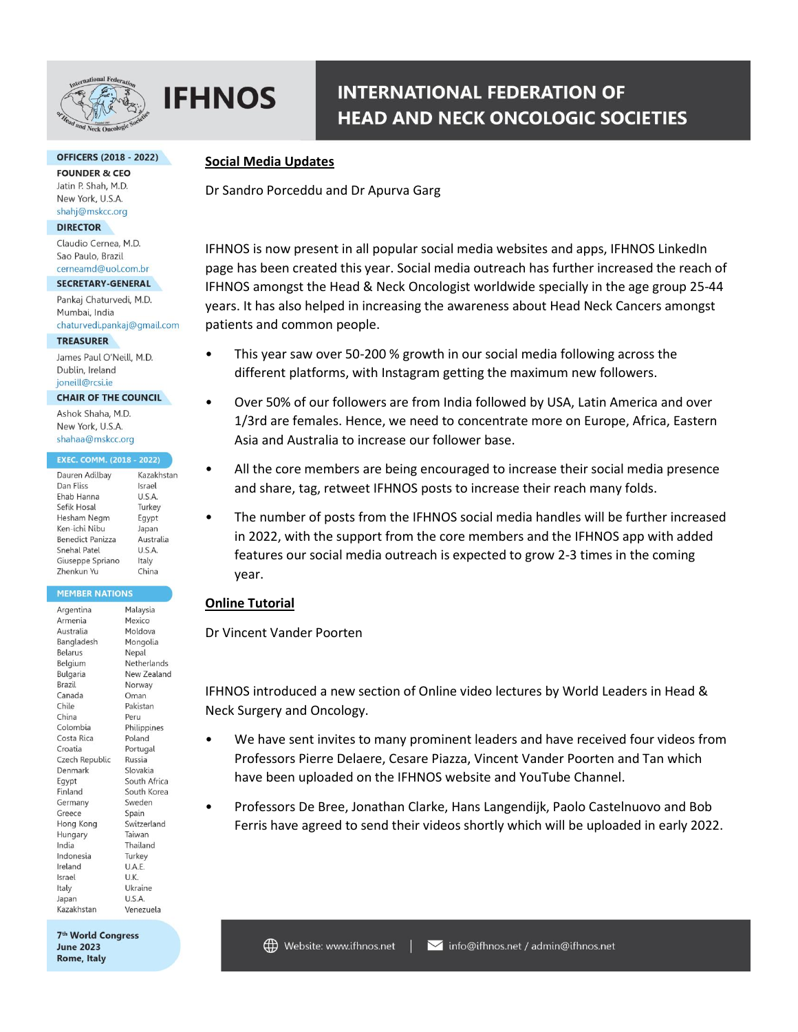

# **INTERNATIONAL FEDERATION OF HEAD AND NECK ONCOLOGIC SOCIETIES**

### **OFFICERS (2018 - 2022)**

**FOUNDER & CEO** Jatin P. Shah, M.D. New York, U.S.A. shahj@mskcc.org

#### **DIRECTOR**

Claudio Cernea, M.D. Sao Paulo, Brazil cerneamd@uol.com.br

#### SECRETARY-GENERAL

Pankaj Chaturvedi, M.D. Mumbai, India chaturvedi.pankaj@gmail.com

#### **TREASURER**

James Paul O'Neill, M.D. Dublin, Ireland joneill@rcsi.ie

# **CHAIR OF THE COUNCIL**

Ashok Shaha, M.D. New York, U.S.A. shahaa@mskcc.org

#### **EXEC. COMM. (2018 - 2022)**

| Dauren Adilbay          | Kazakhstan |
|-------------------------|------------|
| Dan Fliss               | Israel     |
| Ehab Hanna              | U.S.A.     |
| Sefik Hosal             | Turkey     |
| Hesham Negm             | Egypt      |
| Ken-ichi Nibu           | Japan      |
| <b>Benedict Panizza</b> | Australia  |
| Snehal Patel            | U.S.A.     |
| Giuseppe Spriano        | Italy      |
| Zhenkun Yu              | China      |

### **MEMBER NATIONS**

| Argentina       | Malaysia     |
|-----------------|--------------|
| Armenia         | Mexico       |
| Australia       | Moldova      |
| Bangladesh      | Mongolia     |
| Belarus         | Nepal        |
| Belgium         | Netherlands  |
| <b>Bulgaria</b> | New Zealand  |
| Brazil          | Norway       |
| Canada          | Oman         |
| Chile           | Pakistan     |
| China           | Peru         |
| Colombia        | Philippines  |
| Costa Rica      | Poland       |
| Croatia         | Portugal     |
| Czech Republic  | Russia       |
| Denmark         | Slovakia     |
| Egypt           | South Africa |
| Finland         | South Korea  |
| Germany         | Sweden       |
| Greece          | Spain        |
| Hong Kong       | Switzerland  |
| Hungary         | Taiwan       |
| India           | Thailand     |
| Indonesia       | Turkey       |
| Ireland         | U.A.E.       |
| Israel          | U.K.         |
| Italy           | Ukraine      |
| Japan           | U.S.A.       |
| Kazakhstan      | Venezuela    |

7<sup>th</sup> World Congress **June 2023** Rome, Italy

# **Social Media Updates**

Dr Sandro Porceddu and Dr Apurva Garg

IFHNOS is now present in all popular social media websites and apps, IFHNOS LinkedIn page has been created this year. Social media outreach has further increased the reach of IFHNOS amongst the Head & Neck Oncologist worldwide specially in the age group 25-44 years. It has also helped in increasing the awareness about Head Neck Cancers amongst patients and common people.

- This year saw over 50-200 % growth in our social media following across the different platforms, with Instagram getting the maximum new followers.
- Over 50% of our followers are from India followed by USA, Latin America and over 1/3rd are females. Hence, we need to concentrate more on Europe, Africa, Eastern Asia and Australia to increase our follower base.
- All the core members are being encouraged to increase their social media presence and share, tag, retweet IFHNOS posts to increase their reach many folds.
- The number of posts from the IFHNOS social media handles will be further increased in 2022, with the support from the core members and the IFHNOS app with added features our social media outreach is expected to grow 2-3 times in the coming year.

# **Online Tutorial**

Dr Vincent Vander Poorten

IFHNOS introduced a new section of Online video lectures by World Leaders in Head & Neck Surgery and Oncology.

- We have sent invites to many prominent leaders and have received four videos from Professors Pierre Delaere, Cesare Piazza, Vincent Vander Poorten and Tan which have been uploaded on the IFHNOS website and YouTube Channel.
- Professors De Bree, Jonathan Clarke, Hans Langendijk, Paolo Castelnuovo and Bob Ferris have agreed to send their videos shortly which will be uploaded in early 2022.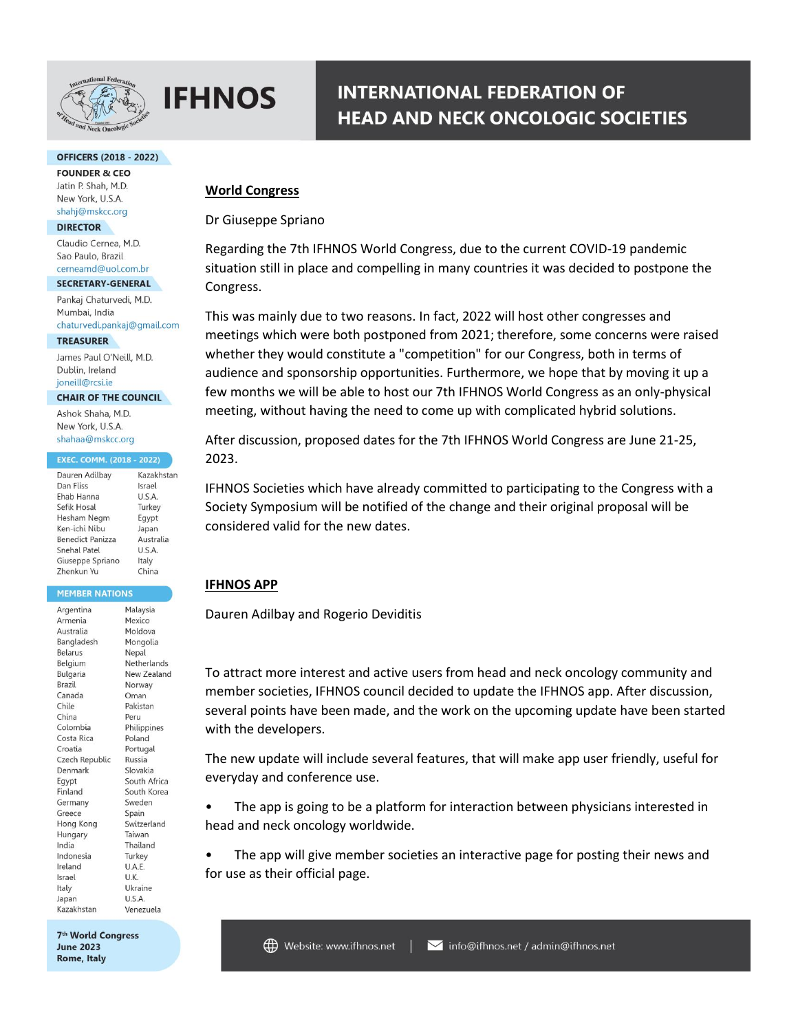

### **OFFICERS (2018 - 2022)**

**FOUNDER & CEO** Jatin P. Shah, M.D. New York, U.S.A. shahj@mskcc.org

#### **DIRECTOR**

Claudio Cernea, M.D. Sao Paulo, Brazil cerneamd@uol.com.br

#### SECRETARY-GENERAL

Pankaj Chaturvedi, M.D. Mumbai, India chaturvedi.pankaj@gmail.com

**TREASURER** 

James Paul O'Neill, M.D. Dublin, Ireland joneill@rcsi.ie

#### **CHAIR OF THE COUNCIL**

Ashok Shaha, M.D. New York, U.S.A. shahaa@mskcc.org

#### **EXEC. COMM. (2018 - 2022)**

| Dauren Adilbay    | Kazakhstar |
|-------------------|------------|
| Dan Fliss         | Israel     |
| Ehab Hanna        | U.S.A.     |
| Sefik Hosal       | Turkey     |
| Hesham Negm       | Egypt      |
| Ken-ichi Nibu     | Japan      |
| Benedict Panizza  | Australia  |
| Snehal Patel      | U.S.A.     |
| Giuseppe Spriano  | Italy      |
| <b>Zhenkun Yu</b> | China      |

#### **MEMBER NATIONS**

| Argentina      | Malaysia     |
|----------------|--------------|
| Armenia        | Mexico       |
| Australia      | Moldova      |
| Bangladesh     | Mongolia     |
| <b>Belarus</b> | Nepal        |
| Belgium        | Netherlands  |
| Bulgaria       | New Zealand  |
| Brazil         | Norway       |
| Canada         | Oman         |
| Chile          | Pakistan     |
| China          | Peru         |
| Colombia       | Philippines  |
| Costa Rica     | Poland       |
| Croatia        | Portugal     |
| Czech Republic | Russia       |
| Denmark        | Slovakia     |
| Eqypt          | South Africa |
| Finland        | South Korea  |
| Germany        | Sweden       |
| Greece         | Spain        |
| Hong Kong      | Switzerland  |
| Hungary        | Taiwan       |
| India          | Thailand     |
| Indonesia      | Turkey       |
| Ireland        | U.A.E.       |
| Israel         | U.K.         |
| Italy          | Ukraine      |
| Japan          | U.S.A.       |
| Kazakhstan     | Venezuela    |

7<sup>th</sup> World Congress **June 2023** Rome, Italy

# **INTERNATIONAL FEDERATION OF HEAD AND NECK ONCOLOGIC SOCIETIES**

## **World Congress**

Dr Giuseppe Spriano

Regarding the 7th IFHNOS World Congress, due to the current COVID-19 pandemic situation still in place and compelling in many countries it was decided to postpone the Congress.

This was mainly due to two reasons. In fact, 2022 will host other congresses and meetings which were both postponed from 2021; therefore, some concerns were raised whether they would constitute a "competition" for our Congress, both in terms of audience and sponsorship opportunities. Furthermore, we hope that by moving it up a few months we will be able to host our 7th IFHNOS World Congress as an only-physical meeting, without having the need to come up with complicated hybrid solutions.

After discussion, proposed dates for the 7th IFHNOS World Congress are June 21-25, 2023.

IFHNOS Societies which have already committed to participating to the Congress with a Society Symposium will be notified of the change and their original proposal will be considered valid for the new dates.

## **IFHNOS APP**

Dauren Adilbay and Rogerio Deviditis

To attract more interest and active users from head and neck oncology community and member societies, IFHNOS council decided to update the IFHNOS app. After discussion, several points have been made, and the work on the upcoming update have been started with the developers.

The new update will include several features, that will make app user friendly, useful for everyday and conference use.

The app is going to be a platform for interaction between physicians interested in head and neck oncology worldwide.

The app will give member societies an interactive page for posting their news and for use as their official page.